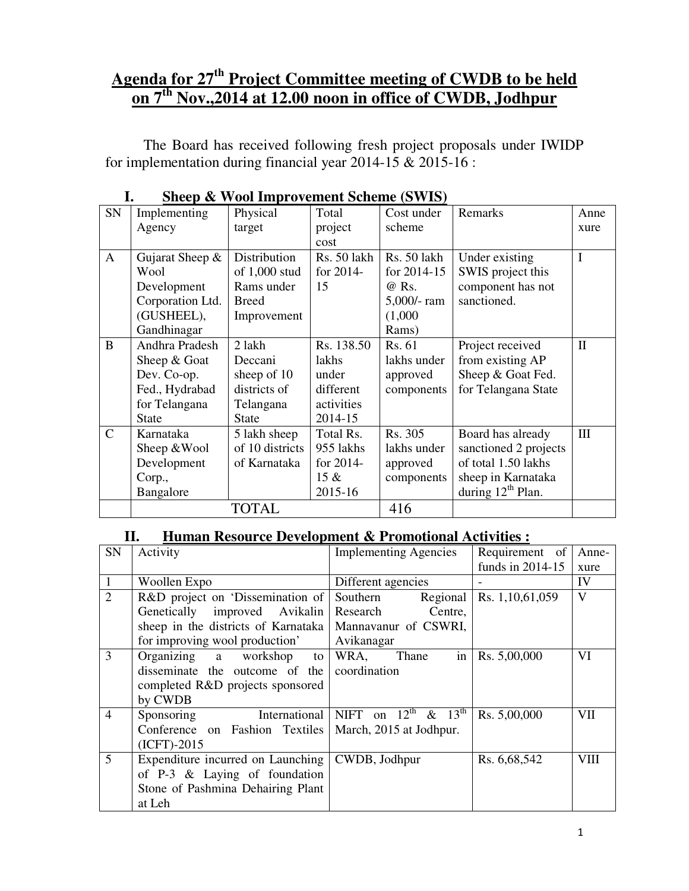## **Agenda for 27th Project Committee meeting of CWDB to be held on 7th Nov.,2014 at 12.00 noon in office of CWDB, Jodhpur**

 The Board has received following fresh project proposals under IWIDP for implementation during financial year 2014-15  $\&$  2015-16 :

| ≖∙           |                  | $\mathbf{C}$ by $\mathbf{C}$ and $\mathbf{C}$ and $\mathbf{C}$ are $\mathbf{C}$ and $\mathbf{C}$ and $\mathbf{C}$ are $\mathbf{C}$ and $\mathbf{C}$ |             |                 |                       |              |
|--------------|------------------|-----------------------------------------------------------------------------------------------------------------------------------------------------|-------------|-----------------|-----------------------|--------------|
| SN           | Implementing     | Physical                                                                                                                                            | Total       | Cost under      | Remarks               | Anne         |
|              | Agency           | target                                                                                                                                              | project     | scheme          |                       | xure         |
|              |                  |                                                                                                                                                     | cost        |                 |                       |              |
| $\mathbf{A}$ | Gujarat Sheep &  | Distribution                                                                                                                                        | Rs. 50 lakh | Rs. 50 lakh     | Under existing        | I            |
|              | Wool             | of $1,000$ stud                                                                                                                                     | for 2014-   | for $2014 - 15$ | SWIS project this     |              |
|              | Development      | Rams under                                                                                                                                          | 15          | @ Rs.           | component has not     |              |
|              | Corporation Ltd. | <b>Breed</b>                                                                                                                                        |             | $5,000$ /-ram   | sanctioned.           |              |
|              | (GUSHEEL),       | Improvement                                                                                                                                         |             | (1,000)         |                       |              |
|              | Gandhinagar      |                                                                                                                                                     |             | Rams)           |                       |              |
| B            | Andhra Pradesh   | 2 lakh                                                                                                                                              | Rs. 138.50  | Rs. 61          | Project received      | $\mathbf{I}$ |
|              | Sheep & Goat     | Deccani                                                                                                                                             | lakhs       | lakhs under     | from existing AP      |              |
|              | Dev. Co-op.      | sheep of 10                                                                                                                                         | under       | approved        | Sheep & Goat Fed.     |              |
|              | Fed., Hydrabad   | districts of                                                                                                                                        | different   | components      | for Telangana State   |              |
|              | for Telangana    | Telangana                                                                                                                                           | activities  |                 |                       |              |
|              | <b>State</b>     | <b>State</b>                                                                                                                                        | 2014-15     |                 |                       |              |
| $\mathsf{C}$ | Karnataka        | 5 lakh sheep                                                                                                                                        | Total Rs.   | Rs. 305         | Board has already     | III          |
|              | Sheep & Wool     | of 10 districts                                                                                                                                     | 955 lakhs   | lakhs under     | sanctioned 2 projects |              |
|              | Development      | of Karnataka                                                                                                                                        | for 2014-   | approved        | of total 1.50 lakhs   |              |
|              | Corp.,           |                                                                                                                                                     | $15 \&$     | components      | sheep in Karnataka    |              |
|              | Bangalore        |                                                                                                                                                     | 2015-16     |                 | during $12th$ Plan.   |              |
|              |                  | TOTAL                                                                                                                                               |             | 416             |                       |              |

|  |  |  | <b>Sheep &amp; Wool Improvement Scheme (SWIS)</b> |  |  |
|--|--|--|---------------------------------------------------|--|--|
|--|--|--|---------------------------------------------------|--|--|

#### **II. Human Resource Development & Promotional Activities :**

| SN             | Activity                            | <b>Implementing Agencies</b>                | Requirement of     | Anne-      |
|----------------|-------------------------------------|---------------------------------------------|--------------------|------------|
|                |                                     |                                             | funds in $2014-15$ | xure       |
| $\mathbf{1}$   | Woollen Expo                        | Different agencies                          |                    | IV         |
| $\overline{2}$ | R&D project on 'Dissemination of    | Southern<br>Regional                        | Rs. 1, 10, 61, 059 | V          |
|                | Genetically improved Avikalin       | Research<br>Centre,                         |                    |            |
|                | sheep in the districts of Karnataka | Mannavanur of CSWRI,                        |                    |            |
|                | for improving wool production'      | Avikanagar                                  |                    |            |
| 3              | Organizing a workshop<br>to         | WRA,<br>Thane<br>in                         | Rs. 5,00,000       | VI         |
|                | disseminate the outcome of the      | coordination                                |                    |            |
|                | completed R&D projects sponsored    |                                             |                    |            |
|                | by CWDB                             |                                             |                    |            |
| $\overline{4}$ | <b>International</b><br>Sponsoring  | NIFT on $12^{\text{th}}$ & $13^{\text{th}}$ | Rs. 5,00,000       | <b>VII</b> |
|                | Conference on Fashion Textiles      | March, 2015 at Jodhpur.                     |                    |            |
|                | $(ICFT)-2015$                       |                                             |                    |            |
| 5              | Expenditure incurred on Launching   | CWDB, Jodhpur                               | Rs. 6, 68, 542     | VIII       |
|                | of $P-3$ & Laying of foundation     |                                             |                    |            |
|                | Stone of Pashmina Dehairing Plant   |                                             |                    |            |
|                | at Leh                              |                                             |                    |            |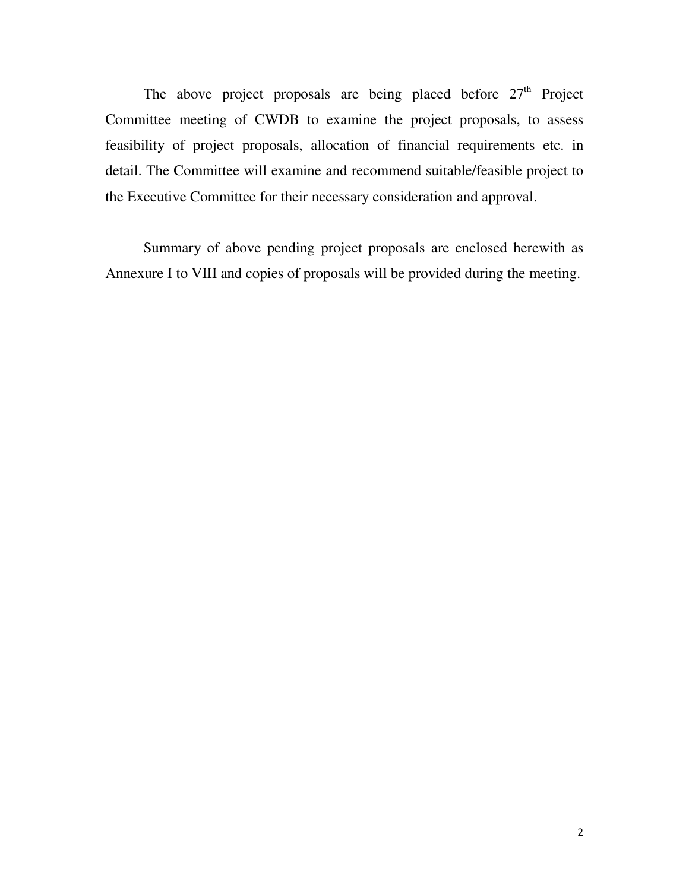The above project proposals are being placed before  $27<sup>th</sup>$  Project Committee meeting of CWDB to examine the project proposals, to assess feasibility of project proposals, allocation of financial requirements etc. in detail. The Committee will examine and recommend suitable/feasible project to the Executive Committee for their necessary consideration and approval.

 Summary of above pending project proposals are enclosed herewith as Annexure I to VIII and copies of proposals will be provided during the meeting.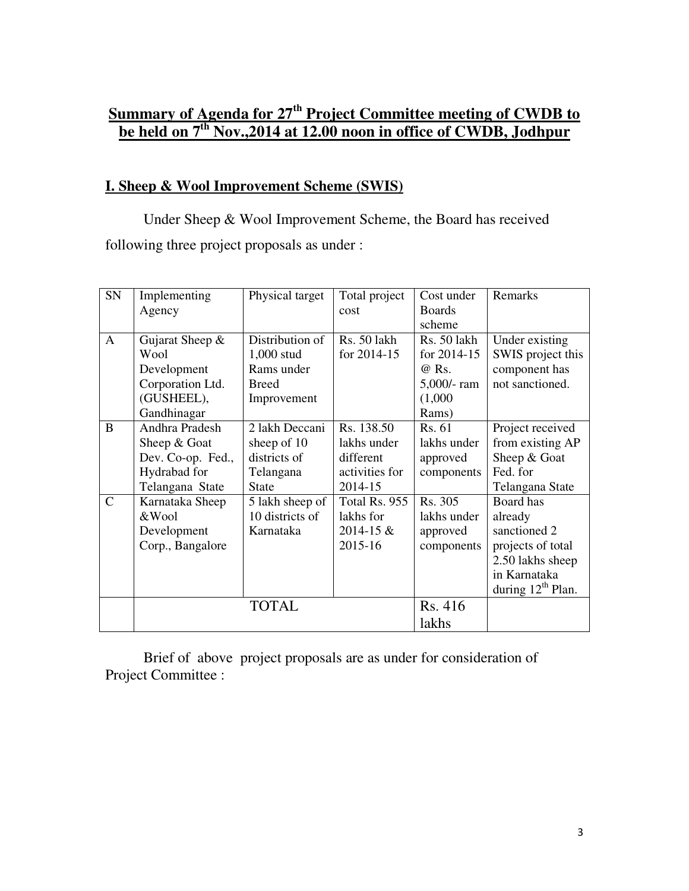## **Summary of Agenda for 27th Project Committee meeting of CWDB to be held on 7th Nov.,2014 at 12.00 noon in office of CWDB, Jodhpur**

#### **I. Sheep & Wool Improvement Scheme (SWIS)**

 Under Sheep & Wool Improvement Scheme, the Board has received following three project proposals as under :

| SN           | Implementing      | Physical target | Total project  | Cost under    | Remarks                |
|--------------|-------------------|-----------------|----------------|---------------|------------------------|
|              | Agency            |                 | cost           | <b>Boards</b> |                        |
|              |                   |                 |                | scheme        |                        |
| $\mathbf{A}$ | Gujarat Sheep &   | Distribution of | Rs. 50 lakh    | Rs. 50 lakh   | Under existing         |
|              | Wool              | 1,000 stud      | for 2014-15    | for 2014-15   | SWIS project this      |
|              | Development       | Rams under      |                | @ Rs.         | component has          |
|              | Corporation Ltd.  | <b>Breed</b>    |                | $5,000$ /-ram | not sanctioned.        |
|              | (GUSHEEL),        | Improvement     |                | (1,000)       |                        |
|              | Gandhinagar       |                 |                | Rams)         |                        |
| B            | Andhra Pradesh    | 2 lakh Deccani  | Rs. 138.50     | Rs. 61        | Project received       |
|              | Sheep & Goat      | sheep of 10     | lakhs under    | lakhs under   | from existing AP       |
|              | Dev. Co-op. Fed., | districts of    | different      | approved      | Sheep & Goat           |
|              | Hydrabad for      | Telangana       | activities for | components    | Fed. for               |
|              | Telangana State   | <b>State</b>    | 2014-15        |               | Telangana State        |
| $\mathsf{C}$ | Karnataka Sheep   | 5 lakh sheep of | Total Rs. 955  | Rs. 305       | Board has              |
|              | &Wool             | 10 districts of | lakhs for      | lakhs under   | already                |
|              | Development       | Karnataka       | $2014 - 15 \&$ | approved      | sanctioned 2           |
|              | Corp., Bangalore  |                 | 2015-16        | components    | projects of total      |
|              |                   |                 |                |               | 2.50 lakhs sheep       |
|              |                   |                 |                |               | in Karnataka           |
|              |                   |                 |                |               | during $12^{th}$ Plan. |
|              |                   | <b>TOTAL</b>    |                | Rs. 416       |                        |
|              |                   |                 |                | lakhs         |                        |

 Brief of above project proposals are as under for consideration of Project Committee :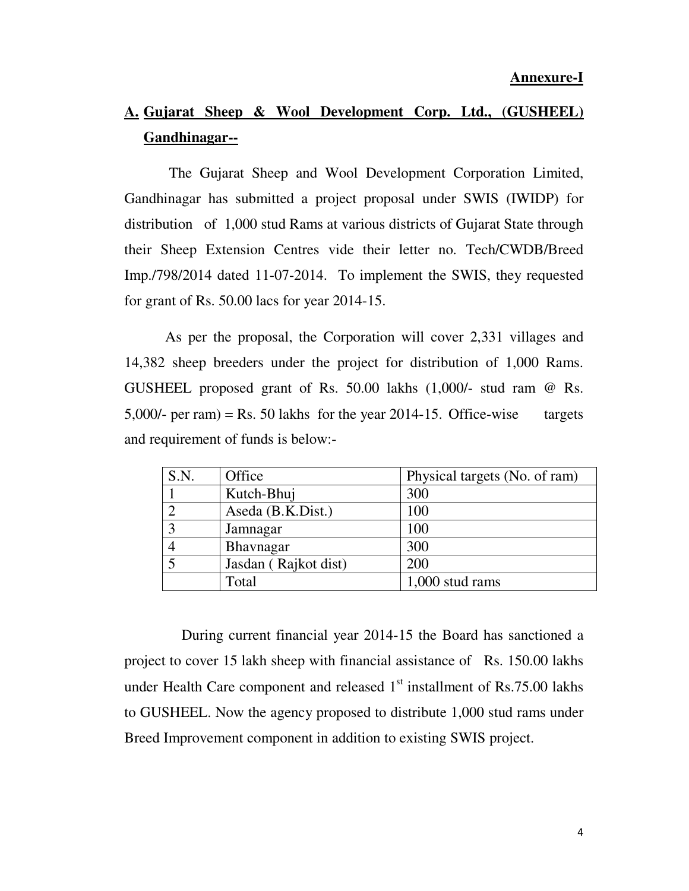## **A. Gujarat Sheep & Wool Development Corp. Ltd., (GUSHEEL) Gandhinagar--**

 The Gujarat Sheep and Wool Development Corporation Limited, Gandhinagar has submitted a project proposal under SWIS (IWIDP) for distribution of 1,000 stud Rams at various districts of Gujarat State through their Sheep Extension Centres vide their letter no. Tech/CWDB/Breed Imp./798/2014 dated 11-07-2014. To implement the SWIS, they requested for grant of Rs. 50.00 lacs for year 2014-15.

As per the proposal, the Corporation will cover 2,331 villages and 14,382 sheep breeders under the project for distribution of 1,000 Rams. GUSHEEL proposed grant of Rs. 50.00 lakhs (1,000/- stud ram @ Rs. 5,000/- per ram) = Rs. 50 lakhs for the year 2014-15. Office-wise targets and requirement of funds is below:-

| S.N. | Office               | Physical targets (No. of ram) |
|------|----------------------|-------------------------------|
|      | Kutch-Bhuj           | 300                           |
|      | Aseda (B.K.Dist.)    | 100                           |
|      | Jamnagar             | 100                           |
|      | <b>Bhavnagar</b>     | 300                           |
|      | Jasdan (Rajkot dist) | 200                           |
|      | Total                | $1,000$ stud rams             |

 During current financial year 2014-15 the Board has sanctioned a project to cover 15 lakh sheep with financial assistance of Rs. 150.00 lakhs under Health Care component and released  $1<sup>st</sup>$  installment of Rs.75.00 lakhs to GUSHEEL. Now the agency proposed to distribute 1,000 stud rams under Breed Improvement component in addition to existing SWIS project.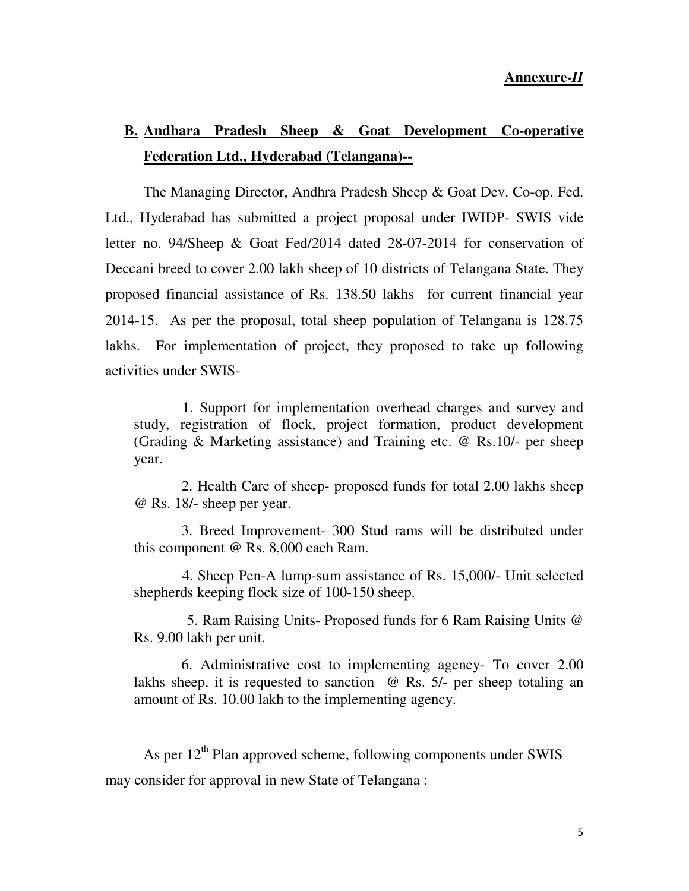## **B. Andhara Pradesh Sheep & Goat Development Co-operative Federation Ltd., Hyderabad (Telangana)--**

 The Managing Director, Andhra Pradesh Sheep & Goat Dev. Co-op. Fed. Ltd., Hyderabad has submitted a project proposal under IWIDP- SWIS vide letter no. 94/Sheep & Goat Fed/2014 dated 28-07-2014 for conservation of Deccani breed to cover 2.00 lakh sheep of 10 districts of Telangana State. They proposed financial assistance of Rs. 138.50 lakhs for current financial year 2014-15. As per the proposal, total sheep population of Telangana is 128.75 lakhs. For implementation of project, they proposed to take up following activities under SWIS-

 1. Support for implementation overhead charges and survey and study, registration of flock, project formation, product development (Grading & Marketing assistance) and Training etc. @ Rs.10/- per sheep year.

 2. Health Care of sheep- proposed funds for total 2.00 lakhs sheep @ Rs. 18/- sheep per year.

 3. Breed Improvement- 300 Stud rams will be distributed under this component @ Rs. 8,000 each Ram.

 4. Sheep Pen-A lump-sum assistance of Rs. 15,000/- Unit selected shepherds keeping flock size of 100-150 sheep.

5. Ram Raising Units- Proposed funds for 6 Ram Raising Units @ Rs. 9.00 lakh per unit.

 6. Administrative cost to implementing agency- To cover 2.00 lakhs sheep, it is requested to sanction @ Rs. 5/- per sheep totaling an amount of Rs. 10.00 lakh to the implementing agency.

As per  $12<sup>th</sup>$  Plan approved scheme, following components under SWIS may consider for approval in new State of Telangana :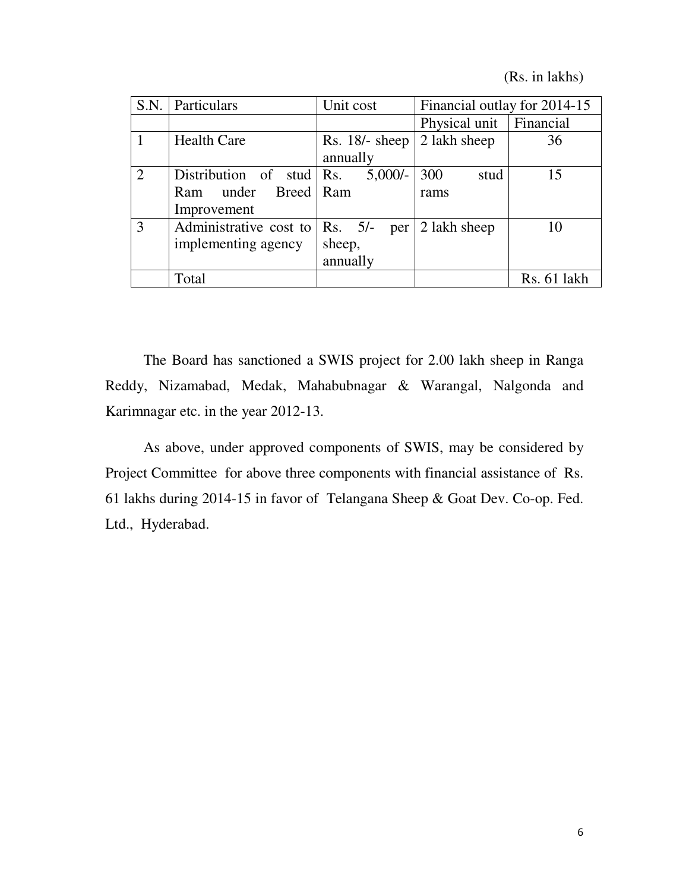(Rs. in lakhs)

|   | S.N. Particulars       | Unit cost                | Financial outlay for 2014-15 |
|---|------------------------|--------------------------|------------------------------|
|   |                        |                          | Financial<br>Physical unit   |
|   | <b>Health Care</b>     | $Rs. 18/- sheep$         | 2 lakh sheep<br>36           |
|   |                        | annually                 |                              |
| 2 | Distribution of stud   | $5,000/-$<br>$\vert$ Rs. | 300<br>15<br>stud            |
|   | Ram under Breed Ram    |                          | rams                         |
|   | Improvement            |                          |                              |
| 3 | Administrative cost to | Rs. 5/–<br>per           | 2 lakh sheep<br>10           |
|   | implementing agency    | sheep,                   |                              |
|   |                        | annually                 |                              |
|   | Total                  |                          | Rs. 61 lakh                  |

 The Board has sanctioned a SWIS project for 2.00 lakh sheep in Ranga Reddy, Nizamabad, Medak, Mahabubnagar & Warangal, Nalgonda and Karimnagar etc. in the year 2012-13.

 As above, under approved components of SWIS, may be considered by Project Committee for above three components with financial assistance of Rs. 61 lakhs during 2014-15 in favor of Telangana Sheep & Goat Dev. Co-op. Fed. Ltd., Hyderabad.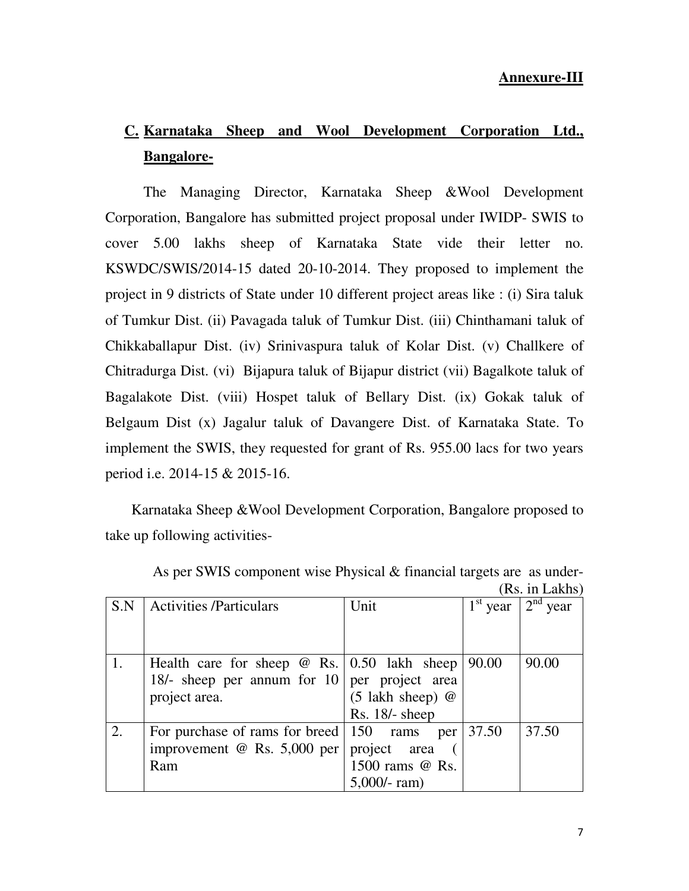# **C. Karnataka Sheep and Wool Development Corporation Ltd., Bangalore-**

 The Managing Director, Karnataka Sheep &Wool Development Corporation, Bangalore has submitted project proposal under IWIDP- SWIS to cover 5.00 lakhs sheep of Karnataka State vide their letter no. KSWDC/SWIS/2014-15 dated 20-10-2014. They proposed to implement the project in 9 districts of State under 10 different project areas like : (i) Sira taluk of Tumkur Dist. (ii) Pavagada taluk of Tumkur Dist. (iii) Chinthamani taluk of Chikkaballapur Dist. (iv) Srinivaspura taluk of Kolar Dist. (v) Challkere of Chitradurga Dist. (vi) Bijapura taluk of Bijapur district (vii) Bagalkote taluk of Bagalakote Dist. (viii) Hospet taluk of Bellary Dist. (ix) Gokak taluk of Belgaum Dist (x) Jagalur taluk of Davangere Dist. of Karnataka State. To implement the SWIS, they requested for grant of Rs. 955.00 lacs for two years period i.e. 2014-15 & 2015-16.

Karnataka Sheep &Wool Development Corporation, Bangalore proposed to take up following activities-

| S.N | <b>Activities /Particulars</b>                       | Unit                 | $1^{\rm st}$<br>year | $2nd$ year |
|-----|------------------------------------------------------|----------------------|----------------------|------------|
|     |                                                      |                      |                      |            |
|     |                                                      |                      |                      |            |
|     | Health care for sheep $\omega$ Rs.   0.50 lakh sheep |                      | 90.00                | 90.00      |
|     | 18/- sheep per annum for 10 per project area         |                      |                      |            |
|     | project area.                                        | $(5$ lakh sheep) $@$ |                      |            |
|     |                                                      | $Rs. 18/- sheep$     |                      |            |
|     | For purchase of rams for breed   150 rams            | per                  | 37.50                | 37.50      |
|     | improvement @ Rs. $5,000$ per   project area         |                      |                      |            |
|     | Ram                                                  | 1500 rams @ Rs.      |                      |            |
|     |                                                      | $5,000$ /-ram)       |                      |            |

 As per SWIS component wise Physical & financial targets are as under- (Rs. in Lakhs)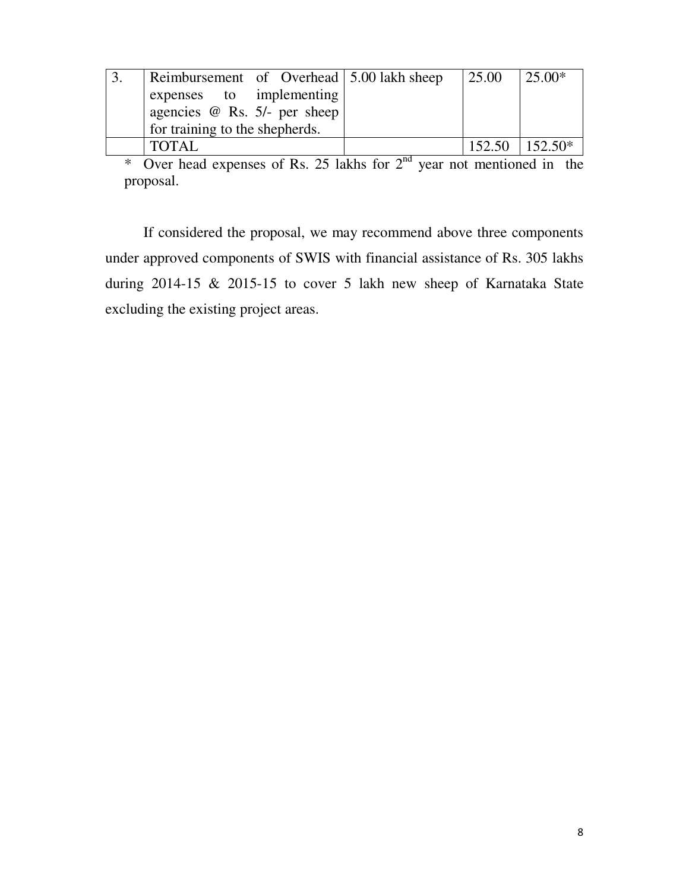| Reimbursement of Overhead 5.00 lakh sheep | 25.00 | $125.00*$               |
|-------------------------------------------|-------|-------------------------|
| expenses to implementing                  |       |                         |
| agencies $@$ Rs. 5/- per sheep            |       |                         |
| for training to the shepherds.            |       |                         |
| <b>TOTAL</b>                              |       | $152.50$ $\pm 152.50^*$ |

\* Over head expenses of Rs. 25 lakhs for  $2<sup>nd</sup>$  year not mentioned in the proposal.

 If considered the proposal, we may recommend above three components under approved components of SWIS with financial assistance of Rs. 305 lakhs during 2014-15 & 2015-15 to cover 5 lakh new sheep of Karnataka State excluding the existing project areas.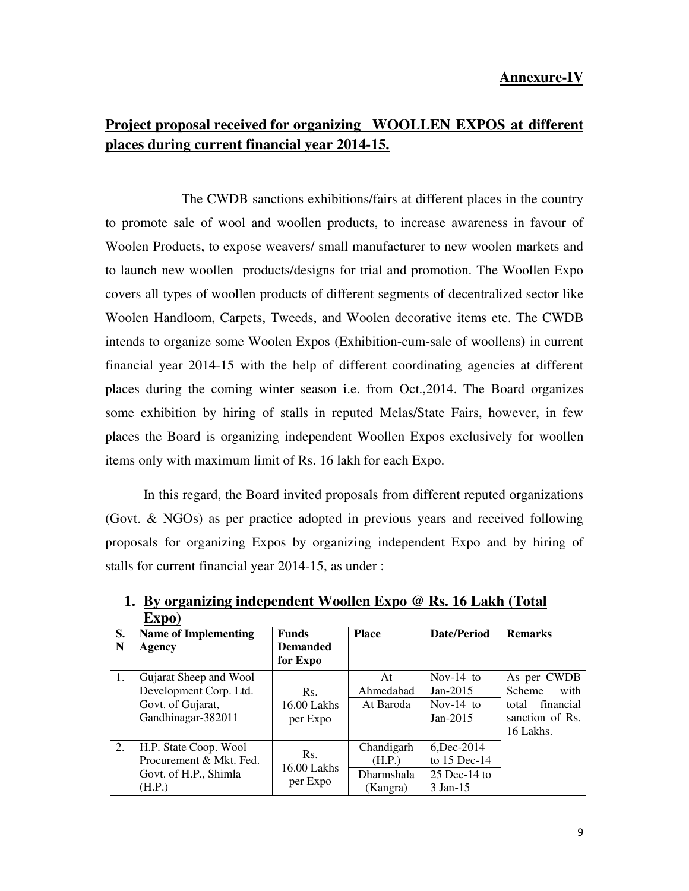## **Project proposal received for organizing WOOLLEN EXPOS at different places during current financial year 2014-15.**

 The CWDB sanctions exhibitions/fairs at different places in the country to promote sale of wool and woollen products, to increase awareness in favour of Woolen Products, to expose weavers/ small manufacturer to new woolen markets and to launch new woollen products/designs for trial and promotion. The Woollen Expo covers all types of woollen products of different segments of decentralized sector like Woolen Handloom, Carpets, Tweeds, and Woolen decorative items etc. The CWDB intends to organize some Woolen Expos (Exhibition-cum-sale of woollens**)** in current financial year 2014-15 with the help of different coordinating agencies at different places during the coming winter season i.e. from Oct.,2014. The Board organizes some exhibition by hiring of stalls in reputed Melas/State Fairs, however, in few places the Board is organizing independent Woollen Expos exclusively for woollen items only with maximum limit of Rs. 16 lakh for each Expo.

In this regard, the Board invited proposals from different reputed organizations (Govt. & NGOs) as per practice adopted in previous years and received following proposals for organizing Expos by organizing independent Expo and by hiring of stalls for current financial year 2014-15, as under :

|    | LAPU                        |                    |              |                |                       |  |
|----|-----------------------------|--------------------|--------------|----------------|-----------------------|--|
| S. | <b>Name of Implementing</b> | <b>Funds</b>       | <b>Place</b> | Date/Period    | <b>Remarks</b>        |  |
| N  | Agency                      | <b>Demanded</b>    |              |                |                       |  |
|    |                             | for Expo           |              |                |                       |  |
| 1. | Gujarat Sheep and Wool      |                    | At           | Nov-14 to      | As per CWDB           |  |
|    | Development Corp. Ltd.      | Rs.                | Ahmedabad    | Jan-2015       | with<br><b>Scheme</b> |  |
|    | Govt. of Gujarat,           | $16.00$ Lakhs      | At Baroda    | Nov- $14$ to   | financial<br>total    |  |
|    | Gandhinagar-382011          | per Expo           |              | $Jan-2015$     | sanction of Rs.       |  |
|    |                             |                    |              |                | 16 Lakhs.             |  |
| 2. | H.P. State Coop. Wool       |                    | Chandigarh   | 6, Dec-2014    |                       |  |
|    | Procurement & Mkt. Fed.     | Rs.<br>16.00 Lakhs | (H.P.)       | to $15$ Dec-14 |                       |  |
|    | Govt. of H.P., Shimla       |                    | Dharmshala   | $25$ Dec-14 to |                       |  |
|    | (H.P.)                      | per Expo           | (Kangra)     | 3 Jan-15       |                       |  |

**1. By organizing independent Woollen Expo @ Rs. 16 Lakh (Total Expo)**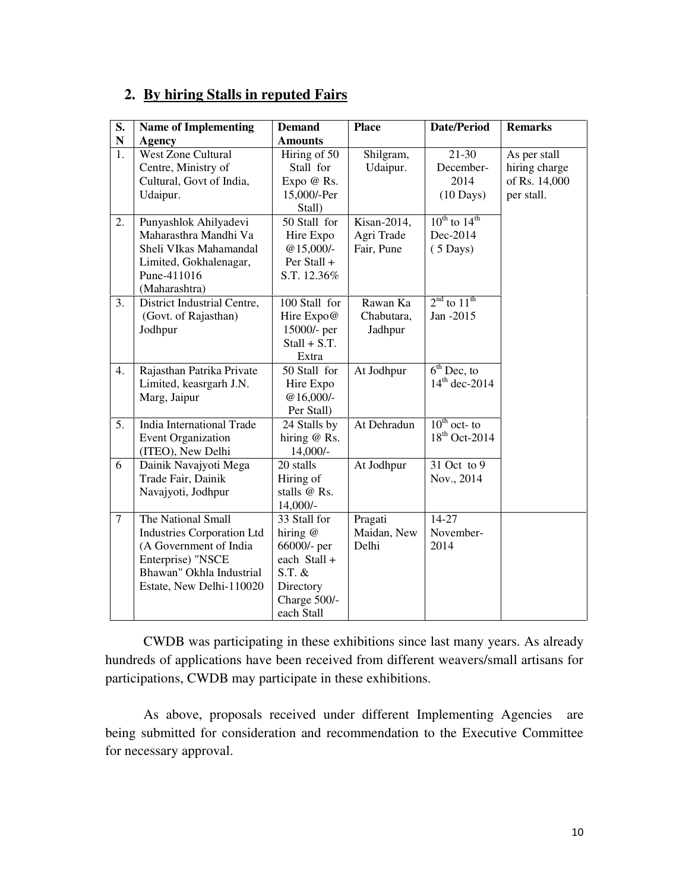#### **2. By hiring Stalls in reputed Fairs**

| S.             | <b>Name of Implementing</b>       | <b>Demand</b>  | <b>Place</b> | <b>Date/Period</b>          | <b>Remarks</b> |
|----------------|-----------------------------------|----------------|--------------|-----------------------------|----------------|
| ${\bf N}$      | <b>Agency</b>                     | <b>Amounts</b> |              |                             |                |
| 1.             | <b>West Zone Cultural</b>         | Hiring of 50   | Shilgram,    | 21-30                       | As per stall   |
|                | Centre, Ministry of               | Stall for      | Udaipur.     | December-                   | hiring charge  |
|                | Cultural, Govt of India,          | Expo @ Rs.     |              | 2014                        | of Rs. 14,000  |
|                | Udaipur.                          | 15,000/-Per    |              | $(10 \text{ Days})$         | per stall.     |
|                |                                   | Stall)         |              |                             |                |
| 2.             | Punyashlok Ahilyadevi             | 50 Stall for   | Kisan-2014,  | $10^{th}$ to $14^{th}$      |                |
|                | Maharasthra Mandhi Va             | Hire Expo      | Agri Trade   | Dec-2014                    |                |
|                | Sheli VIkas Mahamandal            | $@15,000/-$    | Fair, Pune   | $(5 \text{ Days})$          |                |
|                | Limited, Gokhalenagar,            | Per Stall +    |              |                             |                |
|                | Pune-411016                       | S.T. 12.36%    |              |                             |                |
|                | (Maharashtra)                     |                |              |                             |                |
| 3.             | District Industrial Centre,       | 100 Stall for  | Rawan Ka     | $2nd$ to $11th$             |                |
|                | (Govt. of Rajasthan)              | Hire Expo@     | Chabutara,   | Jan -2015                   |                |
|                | Jodhpur                           | 15000/- per    | Jadhpur      |                             |                |
|                |                                   | $Stall + S.T.$ |              |                             |                |
|                |                                   | Extra          |              |                             |                |
| 4.             | Rajasthan Patrika Private         | 50 Stall for   | At Jodhpur   | $\overline{6^{th}$ Dec, to  |                |
|                | Limited, keasrgarh J.N.           | Hire Expo      |              | $14^{th}$ dec-2014          |                |
|                | Marg, Jaipur                      | $@16,000/-$    |              |                             |                |
|                |                                   | Per Stall)     |              |                             |                |
| 5.             | India International Trade         | 24 Stalls by   | At Dehradun  | $\overline{10^{th}$ oct- to |                |
|                | <b>Event Organization</b>         | hiring $@$ Rs. |              | 18 <sup>th</sup> Oct-2014   |                |
|                | (ITEO), New Delhi                 | $14,000/-$     |              |                             |                |
| 6              | Dainik Navajyoti Mega             | 20 stalls      | At Jodhpur   | 31 Oct to 9                 |                |
|                | Trade Fair, Dainik                | Hiring of      |              | Nov., 2014                  |                |
|                | Navajyoti, Jodhpur                | stalls @ Rs.   |              |                             |                |
|                |                                   | 14,000/-       |              |                             |                |
| $\overline{7}$ | The National Small                | 33 Stall for   | Pragati      | 14-27                       |                |
|                | <b>Industries Corporation Ltd</b> | hiring @       | Maidan, New  | November-                   |                |
|                | (A Government of India            | 66000/- per    | Delhi        | 2014                        |                |
|                | Enterprise) "NSCE                 | each Stall +   |              |                             |                |
|                | Bhawan" Okhla Industrial          | $S.T.$ &       |              |                             |                |
|                | Estate, New Delhi-110020          | Directory      |              |                             |                |
|                |                                   | Charge 500/-   |              |                             |                |
|                |                                   | each Stall     |              |                             |                |

 CWDB was participating in these exhibitions since last many years. As already hundreds of applications have been received from different weavers/small artisans for participations, CWDB may participate in these exhibitions.

 As above, proposals received under different Implementing Agencies are being submitted for consideration and recommendation to the Executive Committee for necessary approval.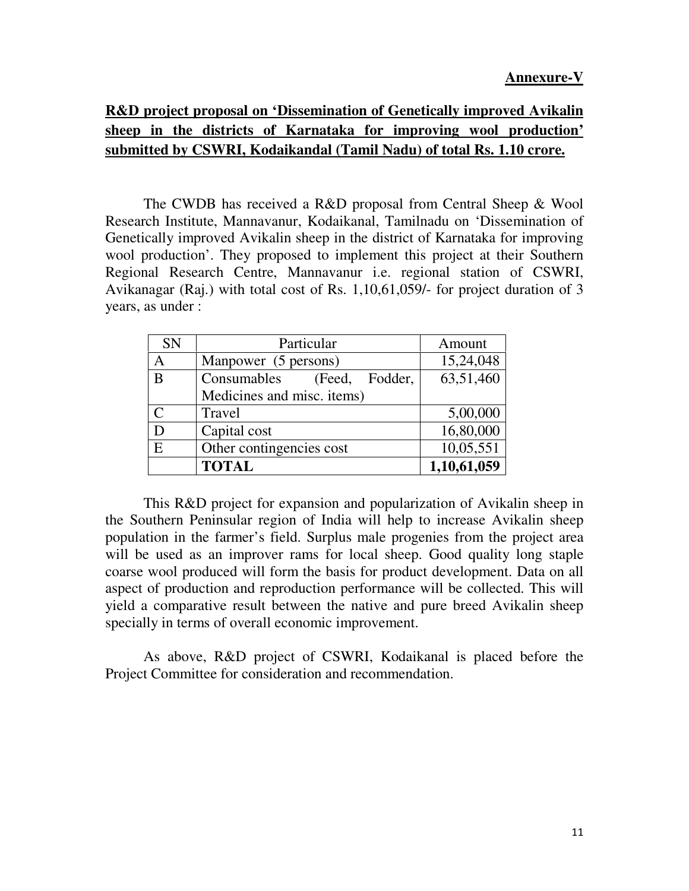## **R&D project proposal on 'Dissemination of Genetically improved Avikalin sheep in the districts of Karnataka for improving wool production' submitted by CSWRI, Kodaikandal (Tamil Nadu) of total Rs. 1.10 crore.**

 The CWDB has received a R&D proposal from Central Sheep & Wool Research Institute, Mannavanur, Kodaikanal, Tamilnadu on 'Dissemination of Genetically improved Avikalin sheep in the district of Karnataka for improving wool production'. They proposed to implement this project at their Southern Regional Research Centre, Mannavanur i.e. regional station of CSWRI, Avikanagar (Raj.) with total cost of Rs. 1,10,61,059/- for project duration of 3 years, as under :

| <b>SN</b> | Particular                       | Amount      |
|-----------|----------------------------------|-------------|
| A         | Manpower (5 persons)             | 15,24,048   |
| B         | Consumables<br>Fodder,<br>(Feed, | 63,51,460   |
|           | Medicines and misc. items)       |             |
| C         | Travel                           | 5,00,000    |
| D         | Capital cost                     | 16,80,000   |
| E         | Other contingencies cost         | 10,05,551   |
|           | <b>TOTAL</b>                     | 1,10,61,059 |

 This R&D project for expansion and popularization of Avikalin sheep in the Southern Peninsular region of India will help to increase Avikalin sheep population in the farmer's field. Surplus male progenies from the project area will be used as an improver rams for local sheep. Good quality long staple coarse wool produced will form the basis for product development. Data on all aspect of production and reproduction performance will be collected. This will yield a comparative result between the native and pure breed Avikalin sheep specially in terms of overall economic improvement.

 As above, R&D project of CSWRI, Kodaikanal is placed before the Project Committee for consideration and recommendation.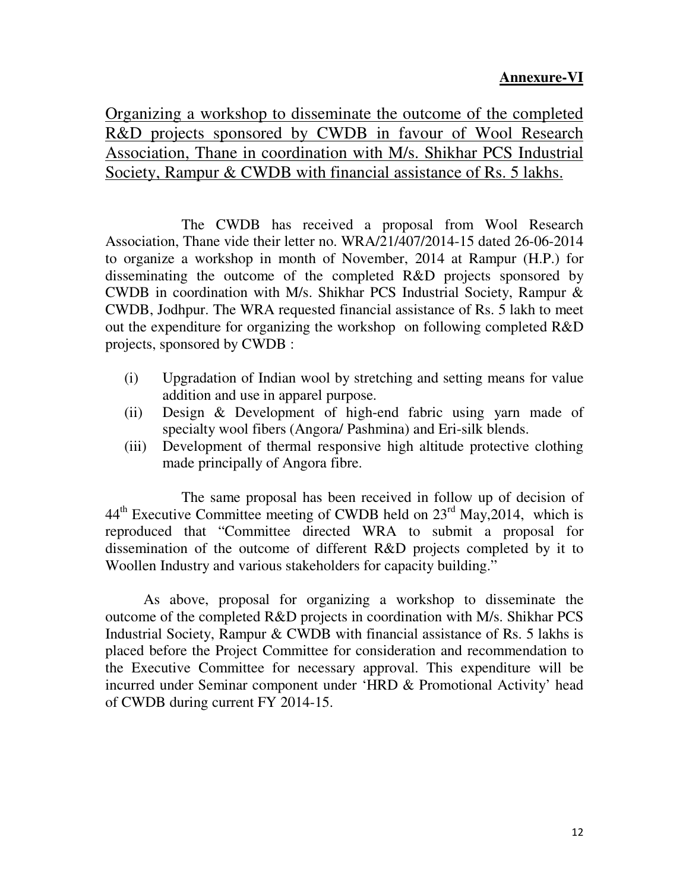### **Annexure-VI**

Organizing a workshop to disseminate the outcome of the completed R&D projects sponsored by CWDB in favour of Wool Research Association, Thane in coordination with M/s. Shikhar PCS Industrial Society, Rampur & CWDB with financial assistance of Rs. 5 lakhs.

 The CWDB has received a proposal from Wool Research Association, Thane vide their letter no. WRA/21/407/2014-15 dated 26-06-2014 to organize a workshop in month of November, 2014 at Rampur (H.P.) for disseminating the outcome of the completed R&D projects sponsored by CWDB in coordination with M/s. Shikhar PCS Industrial Society, Rampur & CWDB, Jodhpur. The WRA requested financial assistance of Rs. 5 lakh to meet out the expenditure for organizing the workshop on following completed R&D projects, sponsored by CWDB :

- (i) Upgradation of Indian wool by stretching and setting means for value addition and use in apparel purpose.
- (ii) Design & Development of high-end fabric using yarn made of specialty wool fibers (Angora/ Pashmina) and Eri-silk blends.
- (iii) Development of thermal responsive high altitude protective clothing made principally of Angora fibre.

 The same proposal has been received in follow up of decision of  $44<sup>th</sup>$  Executive Committee meeting of CWDB held on  $23<sup>rd</sup>$  May, 2014, which is reproduced that "Committee directed WRA to submit a proposal for dissemination of the outcome of different R&D projects completed by it to Woollen Industry and various stakeholders for capacity building."

 As above, proposal for organizing a workshop to disseminate the outcome of the completed R&D projects in coordination with M/s. Shikhar PCS Industrial Society, Rampur & CWDB with financial assistance of Rs. 5 lakhs is placed before the Project Committee for consideration and recommendation to the Executive Committee for necessary approval. This expenditure will be incurred under Seminar component under 'HRD & Promotional Activity' head of CWDB during current FY 2014-15.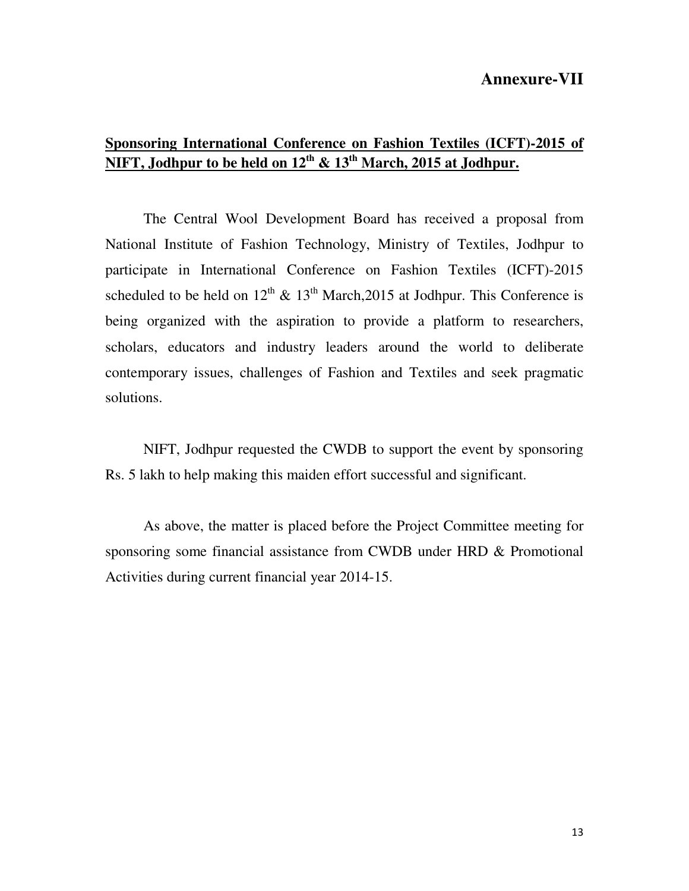#### **Annexure-VII**

## **Sponsoring International Conference on Fashion Textiles (ICFT)-2015 of NIFT, Jodhpur to be held on 12th & 13th March, 2015 at Jodhpur.**

 The Central Wool Development Board has received a proposal from National Institute of Fashion Technology, Ministry of Textiles, Jodhpur to participate in International Conference on Fashion Textiles (ICFT)-2015 scheduled to be held on  $12^{th}$  &  $13^{th}$  March, 2015 at Jodhpur. This Conference is being organized with the aspiration to provide a platform to researchers, scholars, educators and industry leaders around the world to deliberate contemporary issues, challenges of Fashion and Textiles and seek pragmatic solutions.

 NIFT, Jodhpur requested the CWDB to support the event by sponsoring Rs. 5 lakh to help making this maiden effort successful and significant.

 As above, the matter is placed before the Project Committee meeting for sponsoring some financial assistance from CWDB under HRD & Promotional Activities during current financial year 2014-15.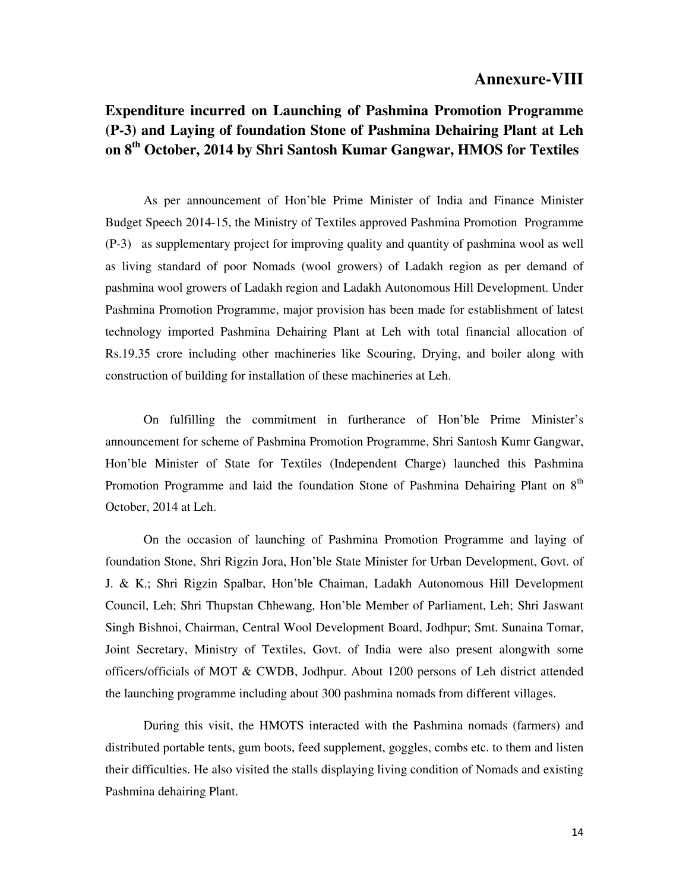#### **Annexure-VIII**

## **Expenditure incurred on Launching of Pashmina Promotion Programme (P-3) and Laying of foundation Stone of Pashmina Dehairing Plant at Leh on 8th October, 2014 by Shri Santosh Kumar Gangwar, HMOS for Textiles**

 As per announcement of Hon'ble Prime Minister of India and Finance Minister Budget Speech 2014-15, the Ministry of Textiles approved Pashmina Promotion Programme (P-3) as supplementary project for improving quality and quantity of pashmina wool as well as living standard of poor Nomads (wool growers) of Ladakh region as per demand of pashmina wool growers of Ladakh region and Ladakh Autonomous Hill Development. Under Pashmina Promotion Programme, major provision has been made for establishment of latest technology imported Pashmina Dehairing Plant at Leh with total financial allocation of Rs.19.35 crore including other machineries like Scouring, Drying, and boiler along with construction of building for installation of these machineries at Leh.

 On fulfilling the commitment in furtherance of Hon'ble Prime Minister's announcement for scheme of Pashmina Promotion Programme, Shri Santosh Kumr Gangwar, Hon'ble Minister of State for Textiles (Independent Charge) launched this Pashmina Promotion Programme and laid the foundation Stone of Pashmina Dehairing Plant on 8<sup>th</sup> October, 2014 at Leh.

 On the occasion of launching of Pashmina Promotion Programme and laying of foundation Stone, Shri Rigzin Jora, Hon'ble State Minister for Urban Development, Govt. of J. & K.; Shri Rigzin Spalbar, Hon'ble Chaiman, Ladakh Autonomous Hill Development Council, Leh; Shri Thupstan Chhewang, Hon'ble Member of Parliament, Leh; Shri Jaswant Singh Bishnoi, Chairman, Central Wool Development Board, Jodhpur; Smt. Sunaina Tomar, Joint Secretary, Ministry of Textiles, Govt. of India were also present alongwith some officers/officials of MOT & CWDB, Jodhpur. About 1200 persons of Leh district attended the launching programme including about 300 pashmina nomads from different villages.

 During this visit, the HMOTS interacted with the Pashmina nomads (farmers) and distributed portable tents, gum boots, feed supplement, goggles, combs etc. to them and listen their difficulties. He also visited the stalls displaying living condition of Nomads and existing Pashmina dehairing Plant.